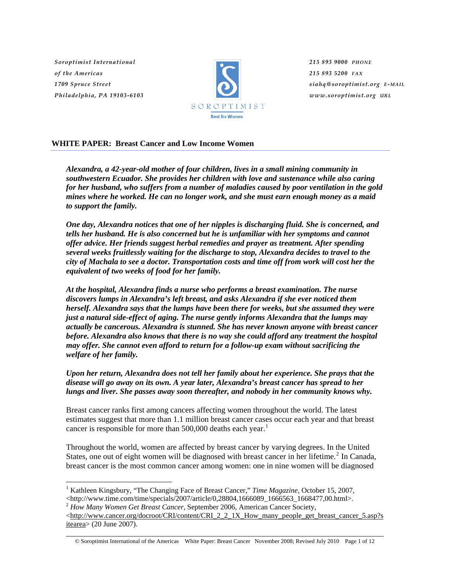*Soroptimist International of the Americas 1709 Spruce Street Philadelphia, PA 19103-6103*

 $\overline{a}$ 



*215 893 9000 PHONE 215 893 5200 FAX siahq@soroptimist.org E-MAIL www.soroptimist.org URL*

# **WHITE PAPER: Breast Cancer and Low Income Women**

*Alexandra, a 42-year-old mother of four children, lives in a small mining community in southwestern Ecuador. She provides her children with love and sustenance while also caring for her husband, who suffers from a number of maladies caused by poor ventilation in the gold mines where he worked. He can no longer work, and she must earn enough money as a maid to support the family.* 

*One day, Alexandra notices that one of her nipples is discharging fluid. She is concerned, and tells her husband. He is also concerned but he is unfamiliar with her symptoms and cannot offer advice. Her friends suggest herbal remedies and prayer as treatment. After spending several weeks fruitlessly waiting for the discharge to stop, Alexandra decides to travel to the city of Machala to see a doctor. Transportation costs and time off from work will cost her the equivalent of two weeks of food for her family.* 

*At the hospital, Alexandra finds a nurse who performs a breast examination. The nurse discovers lumps in Alexandra's left breast, and asks Alexandra if she ever noticed them herself. Alexandra says that the lumps have been there for weeks, but she assumed they were just a natural side-effect of aging. The nurse gently informs Alexandra that the lumps may actually be cancerous. Alexandra is stunned. She has never known anyone with breast cancer before. Alexandra also knows that there is no way she could afford any treatment the hospital may offer. She cannot even afford to return for a follow-up exam without sacrificing the welfare of her family.* 

*Upon her return, Alexandra does not tell her family about her experience. She prays that the disease will go away on its own. A year later, Alexandra's breast cancer has spread to her lungs and liver. She passes away soon thereafter, and nobody in her community knows why.* 

Breast cancer ranks first among cancers affecting women throughout the world. The latest estimates suggest that more than 1.1 million breast cancer cases occur each year and that breast cancer is responsible for more than 500,000 deaths each year.<sup>[1](#page-0-0)</sup>

Throughout the world, women are affected by breast cancer by varying degrees. In the United States, one out of eight women will be diagnosed with breast cancer in her lifetime.<sup>[2](#page-0-1)</sup> In Canada, breast cancer is the most common cancer among women: one in nine women will be diagnosed

<sup>&</sup>lt;sup>1</sup> Kathleen Kingsbury, "The Changing Face of Breast Cancer," *Time Magazine*, October 15, 2007,

<span id="page-0-1"></span><span id="page-0-0"></span><sup>&</sup>lt;http://www.time.com/time/specials/2007/article/0,28804,1666089\_1666563\_1668477,00.html>. 2 *How Many Women Get Breast Cancer*, September 2006, American Cancer Society,

<sup>&</sup>lt;[http://www.cancer.org/docroot/CRI/content/CRI\\_2\\_2\\_1X\\_How\\_many\\_people\\_get\\_breast\\_cancer\\_5.asp?s](http://www.cancer.org/docroot/CRI/content/CRI_2_2_1X_How_many_people_get_breast_cancer_5.asp?sitearea) [itearea>](http://www.cancer.org/docroot/CRI/content/CRI_2_2_1X_How_many_people_get_breast_cancer_5.asp?sitearea) (20 June 2007).

<sup>©</sup> Soroptimist International of the Americas White Paper: Breast Cancer November 2008; Revised July 2010 Page 1 of 12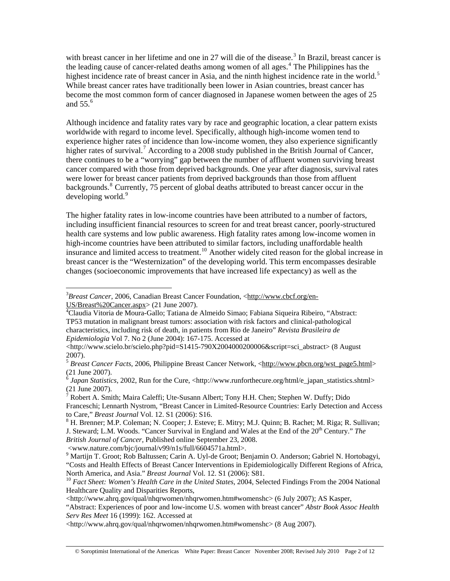with breast cancer in her lifetime and one in 27 will die of the disease.<sup>[3](#page-1-0)</sup> In Brazil, breast cancer is the leading cause of cancer-related deaths among women of all ages.<sup>[4](#page-1-1)</sup> The Philippines has the highest incidence rate of breast cancer in Asia, and the ninth highest incidence rate in the world.<sup>[5](#page-1-2)</sup> While breast cancer rates have traditionally been lower in Asian countries, breast cancer has become the most common form of cancer diagnosed in Japanese women between the ages of 25 and 55. $<sup>6</sup>$  $<sup>6</sup>$  $<sup>6</sup>$ </sup>

Although incidence and fatality rates vary by race and geographic location, a clear pattern exists worldwide with regard to income level. Specifically, although high-income women tend to experience higher rates of incidence than low-income women, they also experience significantly higher rates of survival.<sup>[7](#page-1-4)</sup> According to a 2008 study published in the British Journal of Cancer, there continues to be a "worrying" gap between the number of affluent women surviving breast cancer compared with those from deprived backgrounds. One year after diagnosis, survival rates were lower for breast cancer patients from deprived backgrounds than those from affluent backgrounds.<sup>[8](#page-1-5)</sup> Currently, 75 percent of global deaths attributed to breast cancer occur in the developing world.<sup>[9](#page-1-6)</sup>

The higher fatality rates in low-income countries have been attributed to a number of factors, including insufficient financial resources to screen for and treat breast cancer, poorly-structured health care systems and low public awareness. High fatality rates among low-income women in high-income countries have been attributed to similar factors, including unaffordable health insurance and limited access to treatment.<sup>[10](#page-1-7)</sup> Another widely cited reason for the global increase in breast cancer is the "Westernization" of the developing world. This term encompasses desirable changes (socioeconomic improvements that have increased life expectancy) as well as the

<www.nature.com/bjc/journal/v99/n1s/full/6604571a.html>.

<span id="page-1-0"></span> $\overline{a}$ <sup>3</sup>Breast Cancer, 2006, Canadian Breast Cancer Foundation, <[http://www.cbcf.org/en-](http://www.cbcf.org/en-US/Breast%20Cancer.aspx) $US/B$ reast%20Cancer.aspx> (21 June 2007).

<span id="page-1-1"></span>Claudia Vitoria de Moura-Gallo; Tatiana de Almeido Simao; Fabiana Siqueira Ribeiro, "Abstract: TP53 mutation in malignant breast tumors: association with risk factors and clinical-pathological characteristics, including risk of death, in patients from Rio de Janeiro" *Revista Brasileira de Epidemiologia* Vol 7. No 2 (June 2004): 167-175. Accessed at

<sup>&</sup>lt;http://www.scielo.br/scielo.php?pid=S1415-790X2004000200006&script=sci\_abstract> (8 August) 2007).

<span id="page-1-2"></span><sup>&</sup>lt;sup>5</sup> Breast Cancer Facts, 2006, Philippine Breast Cancer Network, <[http://www.pbcn.org/wst\\_page5.html](http://www.pbcn.org/wst_page5.html)> (21 June 2007).

<span id="page-1-3"></span> $^6$  *Japan Statistics*, 2002, Run for the Cure, <http://www.runforthecure.org/html/e\_japan\_statistics.shtml> (21 June 2007).

<span id="page-1-4"></span><sup>&</sup>lt;sup>7</sup> Robert A. Smith; Maira Caleffi; Ute-Susann Albert; Tony H.H. Chen; Stephen W. Duffy; Dido Franceschi; Lennarth Nystrom, "Breast Cancer in Limited-Resource Countries: Early Detection and Access to Care," *Breast Journal* Vol. 12. S1 (2006): S16.

<span id="page-1-5"></span><sup>&</sup>lt;sup>8</sup> H. Brenner; M.P. Coleman; N. Cooper; J. Esteve; E. Mitry; M.J. Quinn; B. Rachet; M. Riga; R. Sullivan; J. Steward; L.M. Woods. "Cancer Survival in England and Wales at the End of the 20<sup>th</sup> Century." *The British Journal of Cancer,* Published online September 23, 2008.

<span id="page-1-6"></span><sup>9</sup> Martijn T. Groot; Rob Baltussen; Carin A. Uyl-de Groot; Benjamin O. Anderson; Gabriel N. Hortobagyi, "Costs and Health Effects of Breast Cancer Interventions in Epidemiologically Different Regions of Africa, North America, and Asia." Breast Journal Vol. 12. S1 (2006): S81.

<span id="page-1-7"></span><sup>&</sup>lt;sup>10</sup> Fact Sheet: Women's Health Care in the United States, 2004, Selected Findings From the 2004 National Healthcare Quality and Disparities Reports,

 $\langle$ http://www.ahrq.gov/qual/nhqrwomen/nhqrwomen.htm#womenshc> (6 July 2007); AS Kasper,

<sup>&</sup>quot;Abstract: Experiences of poor and low-income U.S. women with breast cancer" *Abstr Book Assoc Health Serv Res Meet* 16 (1999): 162. Accessed at

<sup>&</sup>lt;http://www.ahrq.gov/qual/nhqrwomen/nhqrwomen.htm#womenshc> (8 Aug 2007).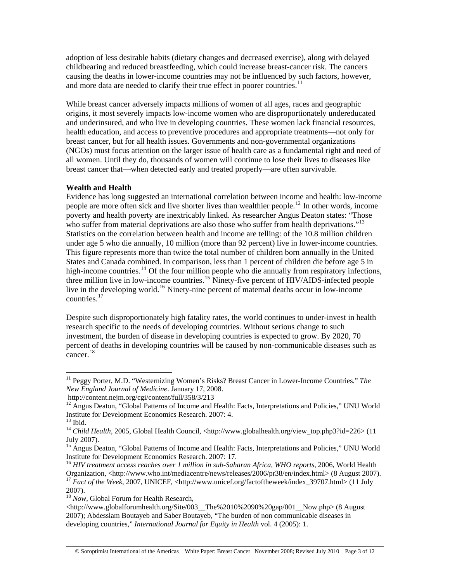adoption of less desirable habits (dietary changes and decreased exercise), along with delayed childbearing and reduced breastfeeding, which could increase breast-cancer risk. The cancers causing the deaths in lower-income countries may not be influenced by such factors, however, and more data are needed to clarify their true effect in poorer countries.<sup>[11](#page-2-0)</sup>

While breast cancer adversely impacts millions of women of all ages, races and geographic origins, it most severely impacts low-income women who are disproportionately undereducated and underinsured, and who live in developing countries. These women lack financial resources, health education, and access to preventive procedures and appropriate treatments—not only for breast cancer, but for all health issues. Governments and non-governmental organizations (NGOs) must focus attention on the larger issue of health care as a fundamental right and need of all women. Until they do, thousands of women will continue to lose their lives to diseases like breast cancer that—when detected early and treated properly—are often survivable.

### **Wealth and Health**

Evidence has long suggested an international correlation between income and health: low-income people are more often sick and live shorter lives than wealthier people.<sup>[12](#page-2-1)</sup> In other words, income poverty and health poverty are inextricably linked. As researcher Angus Deaton states: "Those who suffer from material deprivations are also those who suffer from health deprivations."<sup>[13](#page-2-2)</sup> Statistics on the correlation between health and income are telling: of the 10.8 million children under age 5 who die annually, 10 million (more than 92 percent) live in lower-income countries. This figure represents more than twice the total number of children born annually in the United States and Canada combined. In comparison, less than 1 percent of children die before age 5 in high-income countries.<sup>[14](#page-2-3)</sup> Of the four million people who die annually from respiratory infections, three million live in low-income countries.<sup>[15](#page-2-4)</sup> Ninety-five percent of HIV/AIDS-infected people live in the developing world.<sup>[16](#page-2-5)</sup> Ninety-nine percent of maternal deaths occur in low-income countries.[17](#page-2-6)

Despite such disproportionately high fatality rates, the world continues to under-invest in health research specific to the needs of developing countries. Without serious change to such investment, the burden of disease in developing countries is expected to grow. By 2020, 70 percent of deaths in developing countries will be caused by non-communicable diseases such as  $\frac{18}{10}$  $\frac{18}{10}$  $\frac{18}{10}$ 

<span id="page-2-0"></span><sup>&</sup>lt;sup>11</sup> Peggy Porter, M.D. "Westernizing Women's Risks? Breast Cancer in Lower-Income Countries." The *New England Journal of Medicine*. January 17, 2008.

http://content.nejm.org/cgi/content/full/358/3/213

<span id="page-2-1"></span><sup>&</sup>lt;sup>12</sup> Angus Deaton, "Global Patterns of Income and Health: Facts, Interpretations and Policies," UNU World Institute for Development Economics Research. 2007: 4.

<span id="page-2-2"></span> $13$  Ibid.

<span id="page-2-3"></span><sup>14</sup> *Child Health*, 2005, Global Health Council, <http://www.globalhealth.org/view\_top.php3?id=226> (11 July 2007).

<span id="page-2-4"></span><sup>&</sup>lt;sup>15</sup> Angus Deaton, "Global Patterns of Income and Health: Facts, Interpretations and Policies," UNU World Institute for Development Economics Research. 2007: 17.

<span id="page-2-5"></span><sup>&</sup>lt;sup>16</sup> HIV treatment access reaches over 1 million in sub-Saharan Africa, WHO reports, 2006, World Health Organization, <[http://www.who.int/mediacentre/news/releases/2006/pr38/en/index.html> \(8](http://www.who.int/mediacentre/news/releases/2006/pr38/en/index.html%3E%20(8) August 2007).<br><sup>17</sup> *Fact of the Week*, 2007, UNICEF, <http://www.unicef.org/factoftheweek/index\_39707.html> (11 July

<span id="page-2-6"></span><sup>2007).</sup>

<span id="page-2-7"></span><sup>&</sup>lt;sup>18</sup> *Now*, Global Forum for Health Research,

 $\langle$ http://www.globalforumhealth.org/Site/003\_\_The%2010%2090%20gap/001\_\_Now.php> (8 August) 2007); Abdesslam Boutayeb and Saber Boutayeb, "The burden of non communicable diseases in developing countries," *International Journal for Equity in Health* vol. 4 (2005): 1.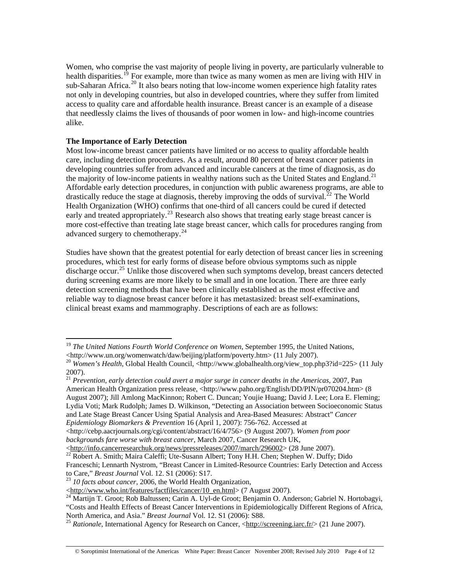Women, who comprise the vast majority of people living in poverty, are particularly vulnerable to health disparities.<sup>[19](#page-3-0)</sup> For example, more than twice as many women as men are living with HIV in sub-Saharan Africa.<sup>[20](#page-3-1)</sup> It also bears noting that low-income women experience high fatality rates not only in developing countries, but also in developed countries, where they suffer from limited access to quality care and affordable health insurance. Breast cancer is an example of a disease that needlessly claims the lives of thousands of poor women in low- and high-income countries alike.

### **The Importance of Early Detection**

 $\overline{a}$ 

Most low-income breast cancer patients have limited or no access to quality affordable health care, including detection procedures. As a result, around 80 percent of breast cancer patients in developing countries suffer from advanced and incurable cancers at the time of diagnosis, as do the majority of low-income patients in wealthy nations such as the United States and England.<sup>[21](#page-3-2)</sup> Affordable early detection procedures, in conjunction with public awareness programs, are able to drastically reduce the stage at diagnosis, thereby improving the odds of survival.<sup>[22](#page-3-3)</sup> The World Health Organization (WHO) confirms that one-third of all cancers could be cured if detected early and treated appropriately.<sup>[23](#page-3-4)</sup> Research also shows that treating early stage breast cancer is more cost-effective than treating late stage breast cancer, which calls for procedures ranging from advanced surgery to chemotherapy.<sup>[24](#page-3-5)</sup>

Studies have shown that the greatest potential for early detection of breast cancer lies in screening procedures, which test for early forms of disease before obvious symptoms such as nipple  $\frac{1}{2}$  discharge occur.<sup>[25](#page-3-6)</sup> Unlike those discovered when such symptoms develop, breast cancers detected during screening exams are more likely to be small and in one location. There are three early detection screening methods that have been clinically established as the most effective and reliable way to diagnose breast cancer before it has metastasized: breast self-examinations, clinical breast exams and mammography. Descriptions of each are as follows:

<span id="page-3-2"></span><sup>21</sup> *Prevention, early detection could avert a major surge in cancer deaths in the Americas,* 2007, Pan American Health Organization press release, <http://www.paho.org/English/DD/PIN/pr070204.htm> (8 August 2007); Jill Amlong MacKinnon; Robert C. Duncan; Youjie Huang; David J. Lee; Lora E. Fleming; Lydia Voti; Mark Rudolph; James D. Wilkinson, "Detecting an Association between Socioeconomic Status and Late Stage Breast Cancer Using Spatial Analysis and Area-Based Measures: Abstract" *Cancer Epidemiology Biomarkers & Prevention* 16 (April 1, 2007): 756-762. Accessed at

<http://cebp.aacrjournals.org/cgi/content/abstract/16/4/756> (9 August 2007). *Women from poor backgrounds fare worse with breast cancer*, March 2007, Cancer Research UK,

<span id="page-3-0"></span><sup>&</sup>lt;sup>19</sup> *The United Nations Fourth World Conference on Women*, September 1995, the United Nations, <br>
<http://www.un.org/womenwatch/daw/beijing/platform/poverty.htm> (11 July 2007).

<span id="page-3-1"></span><sup>&</sup>lt;sup>20</sup> Women's Health, Global Health Council, <http://www.globalhealth.org/view\_top.php3?id=225> (11 July 2007).

<sup>&</sup>lt;<http://info.cancerresearchuk.org/news/pressreleases/2007/march/296002>> (28 June 2007). 2[2](http://info.cancerresearchuk.org/news/pressreleases/2007/march/296002) Robert A. Smith; Maira Caleffi; Ute-Susann Albert; Tony H.H. Chen; Stephen W. Duffy; Dido

<span id="page-3-3"></span>Franceschi; Lennarth Nystrom, "Breast Cancer in Limited-Resource Countries: Early Detection and Access to Care," *Breast Journal* Vol. 12. S1 (2006): S17. 23 *10 facts about cancer,* 2006, the World Health Organization,

<span id="page-3-5"></span><span id="page-3-4"></span><sup>&</sup>lt;[http://www.who.int/features/factfiles/cancer/10\\_en.html](http://www.who.int/features/factfiles/cancer/10_en.html)> (7 August 2007). 2[4](http://www.who.int/features/factfiles/cancer/10_en.html) Martijn T. Groot; Rob Baltussen; Carin A. Uyl-de Groot; Benjamin O. Anderson; Gabriel N. Hortobagyi, "Costs and Health Effects of Breast Cancer Interventions in Epidemiologically Different Regions of Africa, North America, and Asia." *Breast Journal* Vol. 12. S1 (2006): S88.<br><sup>25</sup> *Rationale*, International Agency for Research on Cancer, <[http://screening.iarc.fr/>](http://screening.iarc.fr/) (21 June 2007).

<span id="page-3-6"></span>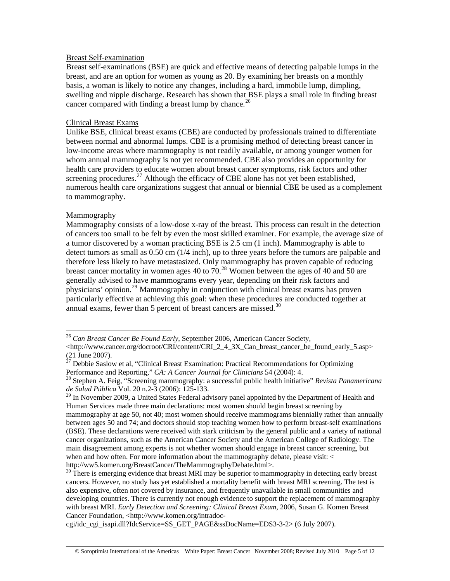#### Breast Self-examination

Breast self-examinations (BSE) are quick and effective means of detecting palpable lumps in the breast, and are an option for women as young as 20. By examining her breasts on a monthly basis, a woman is likely to notice any changes, including a hard, immobile lump, dimpling, swelling and nipple discharge. Research has shown that BSE plays a small role in finding breast cancer compared with finding a breast lump by chance.<sup>[26](#page-4-0)</sup>

### Clinical Breast Exams

Unlike BSE, clinical breast exams (CBE) are conducted by professionals trained to differentiate between normal and abnormal lumps. CBE is a promising method of detecting breast cancer in low-income areas where mammography is not readily available, or among younger women for whom annual mammography is not yet recommended. CBE also provides an opportunity for health care providers to educate women about breast cancer symptoms, risk factors and other screening procedures.<sup>[27](#page-4-1)</sup> Although the efficacy of CBE alone has not yet been established, numerous health care organizations suggest that annual or biennial CBE be used as a complement to mammography.

# Mammography

 $\overline{a}$ 

Mammography consists of a low-dose x-ray of the breast. This process can result in the detection of cancers too small to be felt by even the most skilled examiner. For example, the average size of a tumor discovered by a woman practicing BSE is 2.5 cm (1 inch). Mammography is able to detect tumors as small as 0.50 cm (1/4 inch), up to three years before the tumors are palpable and therefore less likely to have metastasized. Only mammography has proven capable of reducing breast cancer mortality in women ages 40 to  $70<sup>28</sup>$  $70<sup>28</sup>$  $70<sup>28</sup>$  Women between the ages of 40 and 50 are generally advised to have mammograms every year, depending on their risk factors and physicians' opinion.[29](#page-4-3) Mammography in conjunction with clinical breast exams has proven particularly effective at achieving this goal: when these procedures are conducted together at annual exams, fewer than 5 percent of breast cancers are missed.<sup>[30](#page-4-4)</sup>

<span id="page-4-0"></span><sup>26</sup> *Can Breast Cancer Be Found Early*, September 2006, American Cancer Society,

 $\lt$ http://www.cancer.org/docroot/CRI/content/CRI\_2\_4\_3X\_Can\_breast\_cancer\_be\_found\_early\_5.asp> (21 June 2007).

<span id="page-4-1"></span> $27$  Debbie Saslow et al, "Clinical Breast Examination: Practical Recommendations for Optimizing Performance and Reporting," *CA: A Cancer Journal for Clinicians* 54 (2004): 4.<br><sup>28</sup> Stephen A. Feig, "Screening mammography: a successful public health initiative" *Revista Panamericana* 

<span id="page-4-2"></span>*de Salud Pública* Vol. 20 n.2-3 (2006): 125-133.

<span id="page-4-3"></span><sup>&</sup>lt;sup>29</sup> In November 2009, a United States Federal advisory panel appointed by the Department of Health and Human Services made three main declarations: most women should begin breast screening by mammography at age 50, not 40; most women should receive mammograms biennially rather than annually between ages 50 and 74; and doctors should stop teaching women how to perform breast-self examinations (BSE). These declarations were received with stark criticism by the general public and a variety of national cancer organizations, such as the American Cancer Society and the American College of Radiology. The main disagreement among experts is not whether women should engage in breast cancer screening, but when and how often. For more information about the mammography debate, please visit: < http://ww5.komen.org/BreastCancer/TheMammographyDebate.html>.<br><sup>30</sup> There is emerging evidence that breast MRI may be superior to mammography in detecting early breast

<span id="page-4-4"></span>cancers. However, no study has yet established a mortality benefit with breast MRI screening. The test is also expensive, often not covered by insurance, and frequently unavailable in small communities and developing countries. There is currently not enough evidence to support the replacement of mammography with breast MRI. *Early Detection and Screening: Clinical Breast Exam*, 2006, Susan G. Komen Breast Cancer Foundation, <http://www.komen.org/intradoc-

cgi/idc\_cgi\_isapi.dll?IdcService=SS\_GET\_PAGE&ssDocName=EDS3-3-2> (6 July 2007).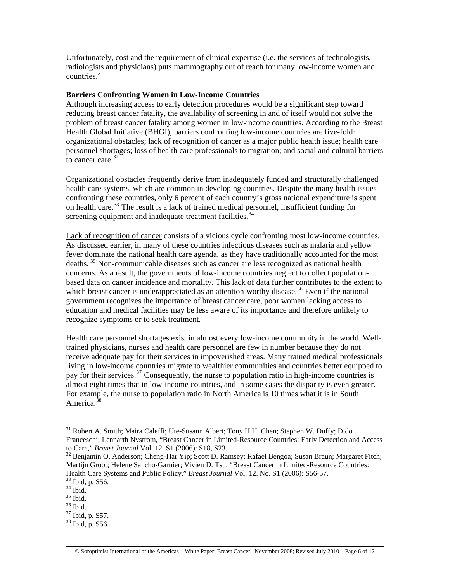Unfortunately, cost and the requirement of clinical expertise (i.e. the services of technologists, radiologists and physicians) puts mammography out of reach for many low-income women and countries.<sup>[31](#page-5-0)</sup>

#### **Barriers Confronting Women in Low-Income Countries**

Although increasing access to early detection procedures would be a significant step toward reducing breast cancer fatality, the availability of screening in and of itself would not solve the problem of breast cancer fatality among women in low-income countries. According to the Breast Health Global Initiative (BHGI), barriers confronting low-income countries are five-fold: organizational obstacles; lack of recognition of cancer as a major public health issue; health care personnel shortages; loss of health care professionals to migration; and social and cultural barriers to cancer care. $32$ 

Organizational obstacles frequently derive from inadequately funded and structurally challenged health care systems, which are common in developing countries. Despite the many health issues confronting these countries, only 6 percent of each country's gross national expenditure is spent on health care.<sup>[33](#page-5-2)</sup> The result is a lack of trained medical personnel, insufficient funding for screening equipment and inadequate treatment facilities.<sup>[34](#page-5-3)</sup>

Lack of recognition of cancer consists of a vicious cycle confronting most low-income countries. As discussed earlier, in many of these countries infectious diseases such as malaria and yellow fever dominate the national health care agenda, as they have traditionally accounted for the most deaths. [35](#page-5-4) Non-communicable diseases such as cancer are less recognized as national health concerns. As a result, the governments of low-income countries neglect to collect populationbased data on cancer incidence and mortality. This lack of data further contributes to the extent to which breast cancer is underappreciated as an attention-worthy disease.<sup>[36](#page-5-5)</sup> Even if the national government recognizes the importance of breast cancer care, poor women lacking access to education and medical facilities may be less aware of its importance and therefore unlikely to recognize symptoms or to seek treatment.

Health care personnel shortages exist in almost every low-income community in the world. Welltrained physicians, nurses and health care personnel are few in number because they do not receive adequate pay for their services in impoverished areas. Many trained medical professionals living in low-income countries migrate to wealthier communities and countries better equipped to pay for their services.<sup>[37](#page-5-6)</sup> Consequently, the nurse to population ratio in high-income countries is almost eight times that in low-income countries, and in some cases the disparity is even greater. For example, the nurse to population ratio in North America is 10 times what it is in South America. $38$ 

 $\overline{a}$ 

<span id="page-5-6"></span>37 Ibid, p. S57.

<span id="page-5-0"></span><sup>&</sup>lt;sup>31</sup> Robert A. Smith; Maira Caleffi; Ute-Susann Albert; Tony H.H. Chen; Stephen W. Duffy; Dido Franceschi; Lennarth Nystrom, "Breast Cancer in Limited-Resource Countries: Early Detection and Access to Care," Breast Journal Vol. 12. S1 (2006): S18, S23.

<span id="page-5-1"></span><sup>&</sup>lt;sup>32</sup> Benjamin O. Anderson; Cheng-Har Yip; Scott D. Ramsey; Rafael Bengoa; Susan Braun; Margaret Fitch; Martijn Groot; Helene Sancho-Garnier; Vivien D. Tsu, "Breast Cancer in Limited-Resource Countries: Health Care Systems and Public Policy," *Breast Journal* Vol. 12. No. S1 (2006): S56-57. <sup>33</sup> Ibid, p. S56.

<span id="page-5-2"></span> $34$  Ibid.

<span id="page-5-4"></span><span id="page-5-3"></span> $^{35}$  Ibid.

<span id="page-5-5"></span><sup>36</sup> Ibid.

<span id="page-5-7"></span><sup>38</sup> Ibid, p. S56.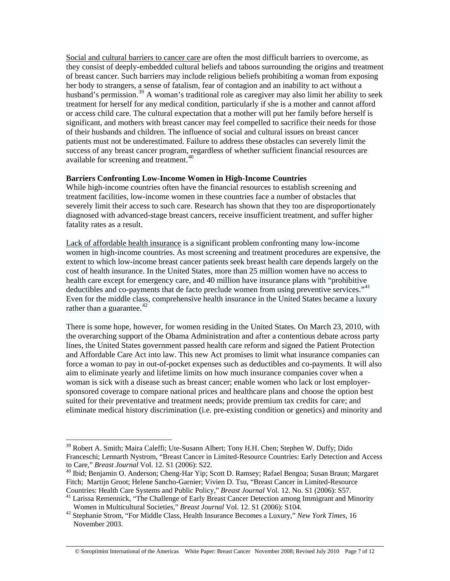Social and cultural barriers to cancer care are often the most difficult barriers to overcome, as they consist of deeply-embedded cultural beliefs and taboos surrounding the origins and treatment of breast cancer. Such barriers may include religious beliefs prohibiting a woman from exposing her body to strangers, a sense of fatalism, fear of contagion and an inability to act without a husband's permission.<sup>[39](#page-6-0)</sup> A woman's traditional role as caregiver may also limit her ability to seek treatment for herself for any medical condition, particularly if she is a mother and cannot afford or access child care. The cultural expectation that a mother will put her family before herself is significant, and mothers with breast cancer may feel compelled to sacrifice their needs for those of their husbands and children. The influence of social and cultural issues on breast cancer patients must not be underestimated. Failure to address these obstacles can severely limit the success of any breast cancer program, regardless of whether sufficient financial resources are available for screening and treatment.<sup>[40](#page-6-1)</sup>

### **Barriers Confronting Low-Income Women in High-Income Countries**

While high-income countries often have the financial resources to establish screening and treatment facilities, low-income women in these countries face a number of obstacles that severely limit their access to such care. Research has shown that they too are disproportionately diagnosed with advanced-stage breast cancers, receive insufficient treatment, and suffer higher fatality rates as a result.

Lack of affordable health insurance is a significant problem confronting many low-income women in high-income countries. As most screening and treatment procedures are expensive, the extent to which low-income breast cancer patients seek breast health care depends largely on the cost of health insurance. In the United States, more than 25 million women have no access to health care except for emergency care, and 40 million have insurance plans with "prohibitive deductibles and co-payments that de facto preclude women from using preventive services."<sup>[41](#page-6-2)</sup> Even for the middle class, comprehensive health insurance in the United States became a luxury rather than a guarantee. $42$ 

There is some hope, however, for women residing in the United States. On March 23, 2010, with the overarching support of the Obama Administration and after a contentious debate across party lines, the United States government passed health care reform and signed the Patient Protection and Affordable Care Act into law. This new Act promises to limit what insurance companies can force a woman to pay in out-of-pocket expenses such as deductibles and co-payments. It will also aim to eliminate yearly and lifetime limits on how much insurance companies cover when a woman is sick with a disease such as breast cancer; enable women who lack or lost employersponsored coverage to compare national prices and healthcare plans and choose the option best suited for their preventative and treatment needs; provide premium tax credits for care; and eliminate medical history discrimination (i.e. pre-existing condition or genetics) and minority and

<span id="page-6-0"></span><sup>&</sup>lt;sup>39</sup> Robert A. Smith; Maira Caleffi; Ute-Susann Albert; Tony H.H. Chen; Stephen W. Duffy; Dido Franceschi; Lennarth Nystrom, "Breast Cancer in Limited-Resource Countries: Early Detection and Access to Care," *Breast Journal Vol. 12. S1 (2006): S22.*<br><sup>40</sup> Ibid; Benjamin O. Anderson; Cheng-Har Yip; Scott D. Ramsey; Rafael Bengoa; Susan Braun; Margaret

<span id="page-6-1"></span>Fitch; Martijn Groot; Helene Sancho-Garnier; Vivien D. Tsu, "Breast Cancer in Limited-Resource

<span id="page-6-2"></span>Countries: Health Care Systems and Public Policy," *Breast Journal* Vol. 12. No. S1 (2006): S57.<br><sup>41</sup> Larissa Remennick, "The Challenge of Early Breast Cancer Detection among Immigrant and Minority Women in Multicultural S

<span id="page-6-3"></span><sup>&</sup>lt;sup>42</sup> Stephanie Strom, "For Middle Class, Health Insurance Becomes a Luxury," *New York Times*, 16 November 2003.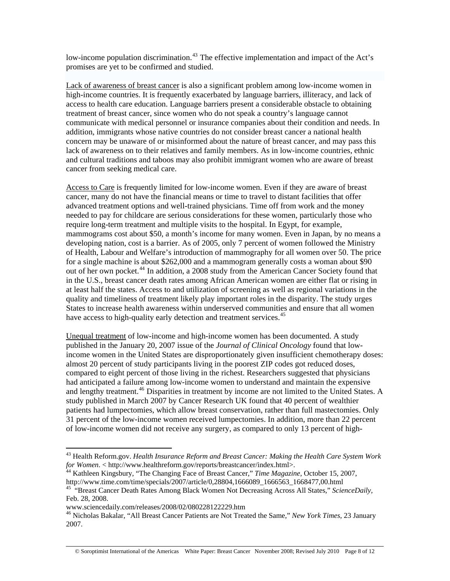low-income population discrimination.<sup>[43](#page-7-0)</sup> The effective implementation and impact of the Act's promises are yet to be confirmed and studied.

Lack of awareness of breast cancer is also a significant problem among low-income women in high-income countries. It is frequently exacerbated by language barriers, illiteracy, and lack of access to health care education. Language barriers present a considerable obstacle to obtaining treatment of breast cancer, since women who do not speak a country's language cannot communicate with medical personnel or insurance companies about their condition and needs. In addition, immigrants whose native countries do not consider breast cancer a national health concern may be unaware of or misinformed about the nature of breast cancer, and may pass this lack of awareness on to their relatives and family members. As in low-income countries, ethnic and cultural traditions and taboos may also prohibit immigrant women who are aware of breast cancer from seeking medical care.

Access to Care is frequently limited for low-income women. Even if they are aware of breast cancer, many do not have the financial means or time to travel to distant facilities that offer advanced treatment options and well-trained physicians. Time off from work and the money needed to pay for childcare are serious considerations for these women, particularly those who require long-term treatment and multiple visits to the hospital. In Egypt, for example, mammograms cost about \$50, a month's income for many women. Even in Japan, by no means a developing nation, cost is a barrier. As of 2005, only 7 percent of women followed the Ministry of Health, Labour and Welfare's introduction of mammography for all women over 50. The price for a single machine is about \$262,000 and a mammogram generally costs a woman about \$90 out of her own pocket.<sup>[44](#page-7-1)</sup> In addition, a 2008 study from the American Cancer Society found that in the U.S., breast cancer death rates among African American women are either flat or rising in at least half the states. Access to and utilization of screening as well as regional variations in the quality and timeliness of treatment likely play important roles in the disparity. The study urges States to increase health awareness within underserved communities and ensure that all women have access to high-quality early detection and treatment services.<sup>[45](#page-7-2)</sup>

Unequal treatment of low-income and high-income women has been documented. A study published in the January 20, 2007 issue of the *Journal of Clinical Oncology* found that lowincome women in the United States are disproportionately given insufficient chemotherapy doses: almost 20 percent of study participants living in the poorest ZIP codes got reduced doses, compared to eight percent of those living in the richest. Researchers suggested that physicians had anticipated a failure among low-income women to understand and maintain the expensive and lengthy treatment.<sup>[46](#page-7-3)</sup> Disparities in treatment by income are not limited to the United States. A study published in March 2007 by Cancer Research UK found that 40 percent of wealthier patients had lumpectomies, which allow breast conservation, rather than full mastectomies. Only 31 percent of the low-income women received lumpectomies. In addition, more than 22 percent of low-income women did not receive any surgery, as compared to only 13 percent of high-

<span id="page-7-0"></span><sup>&</sup>lt;sup>43</sup> Health Reform.gov. *Health Insurance Reform and Breast Cancer: Making the Health Care System Work for Women. < http://www.healthreform.gov/reports/breastcancer/index.html>.* 

<span id="page-7-1"></span><sup>&</sup>lt;sup>44</sup> Kathleen Kingsbury, "The Changing Face of Breast Cancer," *Time Magazine*, October 15, 2007, http://www.time.com/time/specials/2007/article/0,28804,1666089 1666563 1668477,00.html

<span id="page-7-2"></span><sup>&</sup>lt;sup>45 "</sup>Breast Cancer Death Rates Among Black Women Not Decreasing Across All States," *ScienceDaily,* Feb. 28, 2008.

www.sciencedaily.com/releases/2008/02/080228122229.htm

<span id="page-7-3"></span><sup>46</sup> Nicholas Bakalar, "All Breast Cancer Patients are Not Treated the Same," *New York Times*, 23 January 2007.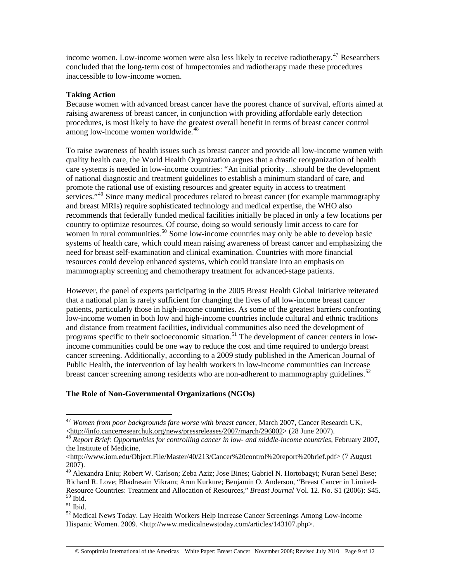income women. Low-income women were also less likely to receive radiotherapy.<sup>[47](#page-8-0)</sup> Researchers concluded that the long-term cost of lumpectomies and radiotherapy made these procedures inaccessible to low-income women.

### **Taking Action**

Because women with advanced breast cancer have the poorest chance of survival, efforts aimed at raising awareness of breast cancer, in conjunction with providing affordable early detection procedures, is most likely to have the greatest overall benefit in terms of breast cancer control among low-income women worldwide.<sup>[48](#page-8-1)</sup>

To raise awareness of health issues such as breast cancer and provide all low-income women with quality health care, the World Health Organization argues that a drastic reorganization of health care systems is needed in low-income countries: "An initial priority…should be the development of national diagnostic and treatment guidelines to establish a minimum standard of care, and promote the rational use of existing resources and greater equity in access to treatment services."<sup>[49](#page-8-2)</sup> Since many medical procedures related to breast cancer (for example mammography and breast MRIs) require sophisticated technology and medical expertise, the WHO also recommends that federally funded medical facilities initially be placed in only a few locations per country to optimize resources. Of course, doing so would seriously limit access to care for women in rural communities.<sup>[50](#page-8-3)</sup> Some low-income countries may only be able to develop basic systems of health care, which could mean raising awareness of breast cancer and emphasizing the need for breast self-examination and clinical examination. Countries with more financial resources could develop enhanced systems, which could translate into an emphasis on mammography screening and chemotherapy treatment for advanced-stage patients.

However, the panel of experts participating in the 2005 Breast Health Global Initiative reiterated that a national plan is rarely sufficient for changing the lives of all low-income breast cancer patients, particularly those in high-income countries. As some of the greatest barriers confronting low-income women in both low and high-income countries include cultural and ethnic traditions and distance from treatment facilities, individual communities also need the development of programs specific to their socioeconomic situation.<sup>[51](#page-8-4)</sup> The development of cancer centers in lowincome communities could be one way to reduce the cost and time required to undergo breast cancer screening. Additionally, according to a 2009 study published in the American Journal of Public Health, the intervention of lay health workers in low-income communities can increase breast cancer screening among residents who are non-adherent to mammography guidelines.<sup>[52](#page-8-5)</sup>

# **The Role of Non-Governmental Organizations (NGOs)**

<span id="page-8-0"></span><sup>47</sup> *Women from poor backgrounds fare worse with breast cance*r, March 2007, Cancer Research UK, <<http://info.cancerresearchuk.org/news/pressreleases/2007/march/296002>> (28 June 2007). 4[8](http://info.cancerresearchuk.org/news/pressreleases/2007/march/296002) *Report Brief: Opportunities for controlling cancer in low- and middle-income countries,* February 2007,

<span id="page-8-1"></span>the Institute of Medicine,

<sup>&</sup>lt;[http://www.iom.edu/Object.File/Master/40/213/Cancer%20control%20report%20brief.pdf>](http://www.iom.edu/Object.File/Master/40/213/Cancer%20control%20report%20brief.pdf) (7 August 2007).

<span id="page-8-2"></span><sup>&</sup>lt;sup>49</sup> Alexandra Eniu; Robert W. Carlson; Zeba Aziz; Jose Bines; Gabriel N. Hortobagyi; Nuran Senel Bese; Richard R. Love; Bhadrasain Vikram; Arun Kurkure; Benjamin O. Anderson, "Breast Cancer in Limited-Resource Countries: Treatment and Allocation of Resources," *Breast Journal* Vol. 12. No. S1 (2006): S45. <sup>50</sup> Ibid.

<span id="page-8-4"></span><span id="page-8-3"></span> $51$  Ibid.

<span id="page-8-5"></span> $52$  Medical News Today. Lay Health Workers Help Increase Cancer Screenings Among Low-income Hispanic Women. 2009. <http://www.medicalnewstoday.com/articles/143107.php>.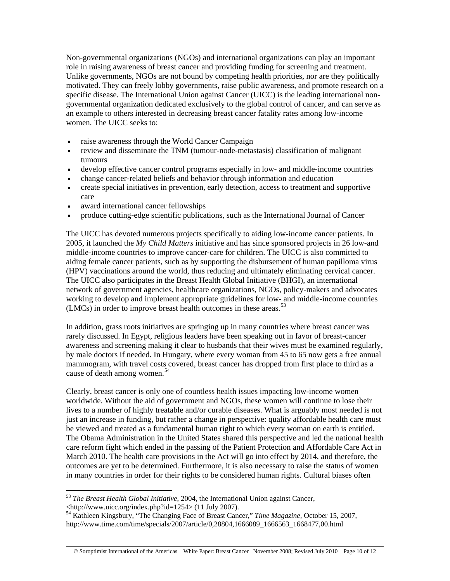Non-governmental organizations (NGOs) and international organizations can play an important role in raising awareness of breast cancer and providing funding for screening and treatment. Unlike governments, NGOs are not bound by competing health priorities, nor are they politically motivated. They can freely lobby governments, raise public awareness, and promote research on a specific disease. The International Union against Cancer (UICC) is the leading international nongovernmental organization dedicated exclusively to the global control of cancer, and can serve as an example to others interested in decreasing breast cancer fatality rates among low-income women. The UICC seeks to:

- raise awareness through the World Cancer Campaign
- review and disseminate the TNM (tumour-node-metastasis) classification of malignant tumours
- develop effective cancer control programs especially in low- and middle-income countries
- change cancer-related beliefs and behavior through information and education
- create special initiatives in prevention, early detection, access to treatment and supportive care
- award international cancer fellowships
- produce cutting-edge scientific publications, such as the International Journal of Cancer

The UICC has devoted numerous projects specifically to aiding low-income cancer patients. In 2005, it launched the *My Child Matters* initiative and has since sponsored projects in 26 low-and middle-income countries to improve cancer-care for children. The UICC is also committed to aiding female cancer patients, such as by supporting the disbursement of human papilloma virus (HPV) vaccinations around the world, thus reducing and ultimately eliminating cervical cancer. The UICC also participates in the Breast Health Global Initiative (BHGI), an international network of government agencies, healthcare organizations, NGOs, policy-makers and advocates working to develop and implement appropriate guidelines for low- and middle-income countries (LMCs) in order to improve breast health outcomes in these areas.<sup>[53](#page-9-0)</sup>

In addition, grass roots initiatives are springing up in many countries where breast cancer was rarely discussed. In Egypt, religious leaders have been speaking out in favor of breast-cancer awareness and screening making it clear to husbands that their wives must be examined regularly, by male doctors if needed. In Hungary, where every woman from 45 to 65 now gets a free annual mammogram, with travel costs covered, breast cancer has dropped from first place to third as a cause of death among women.<sup>[54](#page-9-1)</sup>

Clearly, breast cancer is only one of countless health issues impacting low-income women worldwide. Without the aid of government and NGOs, these women will continue to lose their lives to a number of highly treatable and/or curable diseases. What is arguably most needed is not just an increase in funding, but rather a change in perspective: quality affordable health care must be viewed and treated as a fundamental human right to which every woman on earth is entitled. The Obama Administration in the United States shared this perspective and led the national health care reform fight which ended in the passing of the Patient Protection and Affordable Care Act in March 2010. The health care provisions in the Act will go into effect by 2014, and therefore, the outcomes are yet to be determined. Furthermore, it is also necessary to raise the status of women in many countries in order for their rights to be considered human rights. Cultural biases often

© Soroptimist International of the Americas White Paper: Breast Cancer November 2008; Revised July 2010 Page 10 of 12

<span id="page-9-0"></span><sup>53</sup> *The Breast Health Global Initiative*, 2004, the International Union against Cancer, <http://www.uicc.org/index.php?id=1254> (11 July 2007).

<span id="page-9-1"></span><sup>54</sup> Kathleen Kingsbury, "The Changing Face of Breast Cancer," *Time Magazine,* October 15, 2007, http://www.time.com/time/specials/2007/article/0,28804,1666089\_1666563\_1668477,00.html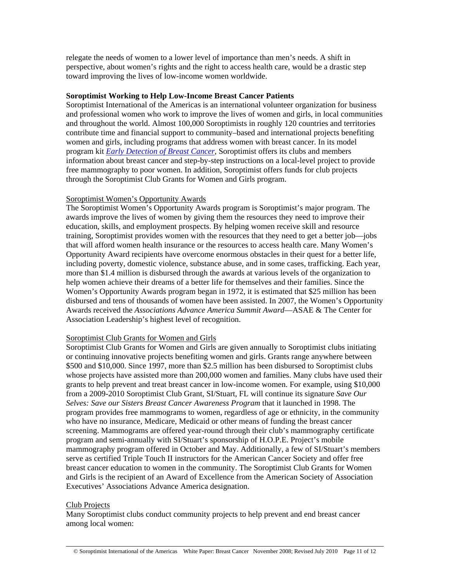relegate the needs of women to a lower level of importance than men's needs. A shift in perspective, about women's rights and the right to access health care, would be a drastic step toward improving the lives of low-income women worldwide.

#### **Soroptimist Working to Help Low-Income Breast Cancer Patients**

Soroptimist International of the Americas is an international volunteer organization for business and professional women who work to improve the lives of women and girls, in local communities and throughout the world. Almost 100,000 Soroptimists in roughly 120 countries and territories contribute time and financial support to community–based and international projects benefiting women and girls, including programs that address women with breast cancer. In its model program kit *[Early Detection of Breast Cancer](http://www.soroptimist.org/members/program/ProgramDocs/ModelProgramKits/EarlyDetectionofBreastCancer.pdf)*, Soroptimist offers its clubs and members information about breast cancer and step-by-step instructions on a local-level project to provide free mammography to poor women. In addition, Soroptimist offers funds for club projects through the Soroptimist Club Grants for Women and Girls program.

#### Soroptimist Women's Opportunity Awards

The Soroptimist Women's Opportunity Awards program is Soroptimist's major program. The awards improve the lives of women by giving them the resources they need to improve their education, skills, and employment prospects. By helping women receive skill and resource training, Soroptimist provides women with the resources that they need to get a better job—jobs that will afford women health insurance or the resources to access health care. Many Women's Opportunity Award recipients have overcome enormous obstacles in their quest for a better life, including poverty, domestic violence, substance abuse, and in some cases, trafficking. Each year, more than \$1.4 million is disbursed through the awards at various levels of the organization to help women achieve their dreams of a better life for themselves and their families. Since the Women's Opportunity Awards program began in 1972, it is estimated that \$25 million has been disbursed and tens of thousands of women have been assisted. In 2007, the Women's Opportunity Awards received the *Associations Advance America Summit Award*—ASAE & The Center for Association Leadership's highest level of recognition.

#### Soroptimist Club Grants for Women and Girls

Soroptimist Club Grants for Women and Girls are given annually to Soroptimist clubs initiating or continuing innovative projects benefiting women and girls. Grants range anywhere between \$500 and \$10,000. Since 1997, more than \$2.5 million has been disbursed to Soroptimist clubs whose projects have assisted more than 200,000 women and families. Many clubs have used their grants to help prevent and treat breast cancer in low-income women. For example, using \$10,000 from a 2009-2010 Soroptimist Club Grant, SI/Stuart, FL will continue its signature *Save Our Selves: Save our Sisters Breast Cancer Awareness Program* that it launched in 1998. The program provides free mammograms to women, regardless of age or ethnicity, in the community who have no insurance, Medicare, Medicaid or other means of funding the breast cancer screening. Mammograms are offered year-round through their club's mammography certificate program and semi-annually with SI/Stuart's sponsorship of H.O.P.E. Project's mobile mammography program offered in October and May. Additionally, a few of SI/Stuart's members serve as certified Triple Touch II instructors for the American Cancer Society and offer free breast cancer education to women in the community. The Soroptimist Club Grants for Women and Girls is the recipient of an Award of Excellence from the American Society of Association Executives' Associations Advance America designation.

#### Club Projects

Many Soroptimist clubs conduct community projects to help prevent and end breast cancer among local women: